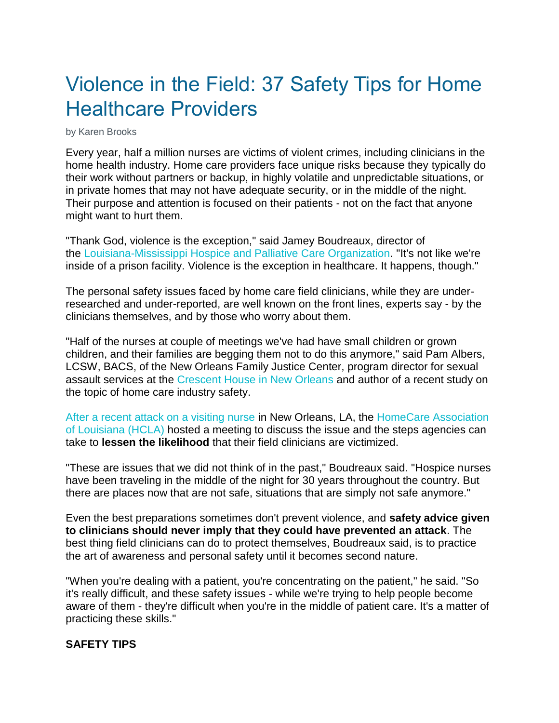# Violence in the Field: 37 Safety Tips for Home Healthcare Providers

by Karen Brooks

Every year, half a million nurses are victims of violent crimes, including clinicians in the home health industry. Home care providers face unique risks because they typically do their work without partners or backup, in highly volatile and unpredictable situations, or in private homes that may not have adequate security, or in the middle of the night. Their purpose and attention is focused on their patients - not on the fact that anyone might want to hurt them.

"Thank God, violence is the exception," said Jamey Boudreaux, director of the [Louisiana-Mississippi Hospice and Palliative Care Organization.](http://www.lmhpco.org/) "It's not like we're inside of a prison facility. Violence is the exception in healthcare. It happens, though."

The personal safety issues faced by home care field clinicians, while they are underresearched and under-reported, are well known on the front lines, experts say - by the clinicians themselves, and by those who worry about them.

"Half of the nurses at couple of meetings we've had have small children or grown children, and their families are begging them not to do this anymore," said Pam Albers, LCSW, BACS, of the New Orleans Family Justice Center, program director for sexual assault services at the [Crescent House in New Orleans](http://www.ccano.org/programs/domestic-violence/) and author of a recent study on the topic of home care industry safety.

[After a recent attack on a visiting nurse](http://www.homecarela.org/2012/02/01/new-orleans-home-health-nurse-victim-of-rape/) in New Orleans, LA, the [HomeCare Association](http://www.hclanet.org/main/)  [of Louisiana \(HCLA\)](http://www.hclanet.org/main/) hosted a meeting to discuss the issue and the steps agencies can take to **lessen the likelihood** that their field clinicians are victimized.

"These are issues that we did not think of in the past," Boudreaux said. "Hospice nurses have been traveling in the middle of the night for 30 years throughout the country. But there are places now that are not safe, situations that are simply not safe anymore."

Even the best preparations sometimes don't prevent violence, and **safety advice given to clinicians should never imply that they could have prevented an attack**. The best thing field clinicians can do to protect themselves, Boudreaux said, is to practice the art of awareness and personal safety until it becomes second nature.

"When you're dealing with a patient, you're concentrating on the patient," he said. "So it's really difficult, and these safety issues - while we're trying to help people become aware of them - they're difficult when you're in the middle of patient care. It's a matter of practicing these skills."

### **SAFETY TIPS**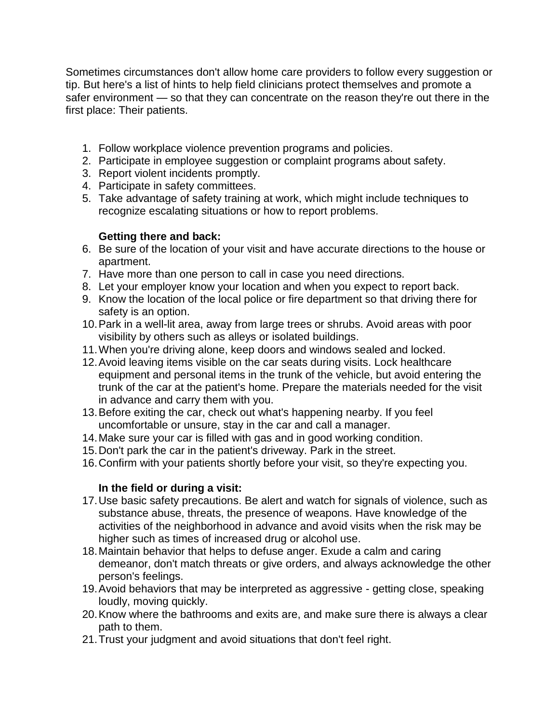Sometimes circumstances don't allow home care providers to follow every suggestion or tip. But here's a list of hints to help field clinicians protect themselves and promote a safer environment — so that they can concentrate on the reason they're out there in the first place: Their patients.

- 1. Follow workplace violence prevention programs and policies.
- 2. Participate in employee suggestion or complaint programs about safety.
- 3. Report violent incidents promptly.
- 4. Participate in safety committees.
- 5. Take advantage of safety training at work, which might include techniques to recognize escalating situations or how to report problems.

# **Getting there and back:**

- 6. Be sure of the location of your visit and have accurate directions to the house or apartment.
- 7. Have more than one person to call in case you need directions.
- 8. Let your employer know your location and when you expect to report back.
- 9. Know the location of the local police or fire department so that driving there for safety is an option.
- 10.Park in a well-lit area, away from large trees or shrubs. Avoid areas with poor visibility by others such as alleys or isolated buildings.
- 11.When you're driving alone, keep doors and windows sealed and locked.
- 12.Avoid leaving items visible on the car seats during visits. Lock healthcare equipment and personal items in the trunk of the vehicle, but avoid entering the trunk of the car at the patient's home. Prepare the materials needed for the visit in advance and carry them with you.
- 13.Before exiting the car, check out what's happening nearby. If you feel uncomfortable or unsure, stay in the car and call a manager.
- 14.Make sure your car is filled with gas and in good working condition.
- 15.Don't park the car in the patient's driveway. Park in the street.
- 16.Confirm with your patients shortly before your visit, so they're expecting you.

# **In the field or during a visit:**

- 17.Use basic safety precautions. Be alert and watch for signals of violence, such as substance abuse, threats, the presence of weapons. Have knowledge of the activities of the neighborhood in advance and avoid visits when the risk may be higher such as times of increased drug or alcohol use.
- 18.Maintain behavior that helps to defuse anger. Exude a calm and caring demeanor, don't match threats or give orders, and always acknowledge the other person's feelings.
- 19.Avoid behaviors that may be interpreted as aggressive getting close, speaking loudly, moving quickly.
- 20.Know where the bathrooms and exits are, and make sure there is always a clear path to them.
- 21.Trust your judgment and avoid situations that don't feel right.